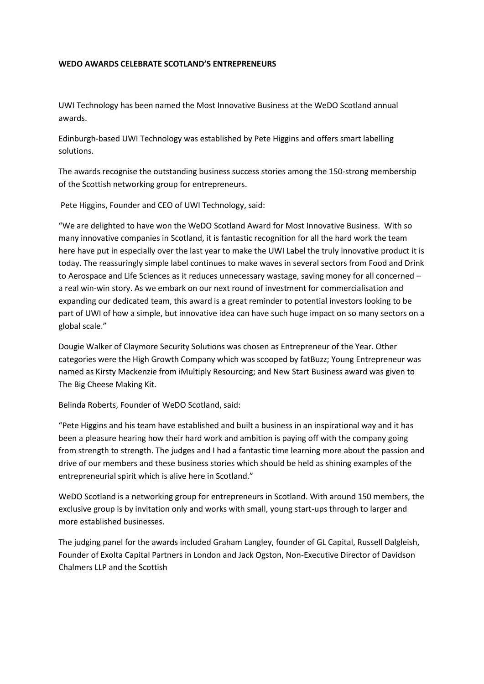## **WEDO AWARDS CELEBRATE SCOTLAND'S ENTREPRENEURS**

UWI Technology has been named the Most Innovative Business at the WeDO Scotland annual awards.

Edinburgh-based UWI Technology was established by Pete Higgins and offers smart labelling solutions.

The awards recognise the outstanding business success stories among the 150-strong membership of the Scottish networking group for entrepreneurs.

Pete Higgins, Founder and CEO of UWI Technology, said:

"We are delighted to have won the WeDO Scotland Award for Most Innovative Business. With so many innovative companies in Scotland, it is fantastic recognition for all the hard work the team here have put in especially over the last year to make the UWI Label the truly innovative product it is today. The reassuringly simple label continues to make waves in several sectors from Food and Drink to Aerospace and Life Sciences as it reduces unnecessary wastage, saving money for all concerned – a real win-win story. As we embark on our next round of investment for commercialisation and expanding our dedicated team, this award is a great reminder to potential investors looking to be part of UWI of how a simple, but innovative idea can have such huge impact on so many sectors on a global scale."

Dougie Walker of Claymore Security Solutions was chosen as Entrepreneur of the Year. Other categories were the High Growth Company which was scooped by fatBuzz; Young Entrepreneur was named as Kirsty Mackenzie from iMultiply Resourcing; and New Start Business award was given to The Big Cheese Making Kit.

Belinda Roberts, Founder of WeDO Scotland, said:

"Pete Higgins and his team have established and built a business in an inspirational way and it has been a pleasure hearing how their hard work and ambition is paying off with the company going from strength to strength. The judges and I had a fantastic time learning more about the passion and drive of our members and these business stories which should be held as shining examples of the entrepreneurial spirit which is alive here in Scotland."

WeDO Scotland is a networking group for entrepreneurs in Scotland. With around 150 members, the exclusive group is by invitation only and works with small, young start-ups through to larger and more established businesses.

The judging panel for the awards included Graham Langley, founder of GL Capital, Russell Dalgleish, Founder of Exolta Capital Partners in London and Jack Ogston, Non-Executive Director of Davidson Chalmers LLP and the Scottish